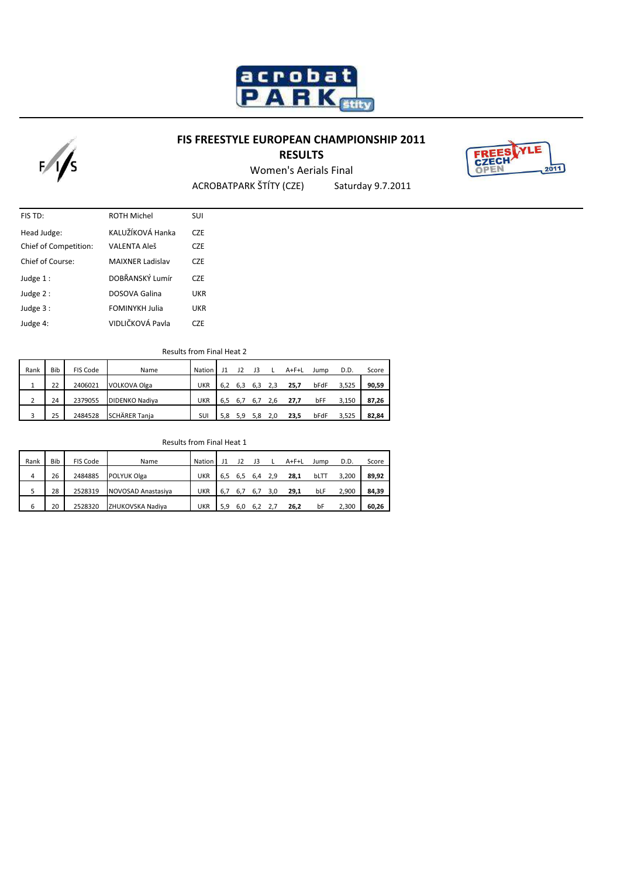

## **FIS FREESTYLE EUROPEAN CHAMPIONSHIP 2011**

## **RESULTS**



ACROBATPARK ŠTÍTY (CZE) Saturday 9.7.2011 Women's Aerials Final

| FIS TD:                      | <b>ROTH Michel</b>    | SUI              |
|------------------------------|-----------------------|------------------|
| Head Judge:                  | KALUŽÍKOVÁ Hanka      | <b>CZE</b>       |
| <b>Chief of Competition:</b> | <b>VALENTA Aleš</b>   | C <sub>7</sub> F |
| Chief of Course:             | MAIXNER Ladislav      | C <sub>7F</sub>  |
| Judge $1$ :                  | DOBŘANSKÝ Lumír       | C <sub>7</sub> F |
| Judge $2:$                   | DOSOVA Galina         | UKR              |
| Judge 3 :                    | <b>FOMINYKH Julia</b> | UKR              |
| Judge 4:                     | VIDLIČKOVÁ Pavla      | C <sub>7</sub> F |

 $F/fs$ 

Results from Final Heat 2

| Rank | Bib | FIS Code | Name                  | Nation     |     | 12  | 13  |     | A+F+L | Jump | D.D.  | Score |
|------|-----|----------|-----------------------|------------|-----|-----|-----|-----|-------|------|-------|-------|
|      | 22  | 2406021  | <b>VOLKOVA Olga</b>   | <b>UKR</b> | 6.2 | 6.3 | 6.3 |     | 25.7  | bFdF | 3,525 | 90,59 |
| C.   | 24  | 2379055  | <b>DIDENKO Nadiya</b> | <b>UKR</b> | 6.5 | 6., | 6.7 | 2.b | 27,7  | bFF  | 3,150 | 87,26 |
| 3    | 25  | 2484528  | <b>SCHÄRER Tania</b>  | SUI        | 5.8 | 5.9 | 5.8 |     | 23.5  | bFdF | 3,525 | 82,84 |

Results from Final Heat 1

| Rank | Bib | FIS Code | Name               | Nation     |     | 12  | 13  |     | A+F+L | Jump | D.D.  | Score |
|------|-----|----------|--------------------|------------|-----|-----|-----|-----|-------|------|-------|-------|
| 4    | 26  | 2484885  | POLYUK Olga        | <b>UKR</b> | 6.5 | 6,5 | 6.4 | 2.9 | 28.1  | bLTT | 3,200 | 89.92 |
|      | 28  | 2528319  | NOVOSAD Anastasiya | <b>UKR</b> | 6.7 | 6., |     |     | 29.1  | bLF  | 2,900 | 84,39 |
| 6    | 20  | 2528320  | ZHUKOVSKA Nadiva   | <b>UKR</b> | 5.9 | 6.0 | 6.2 |     | 26,2  | bF   | 2,300 | 60,26 |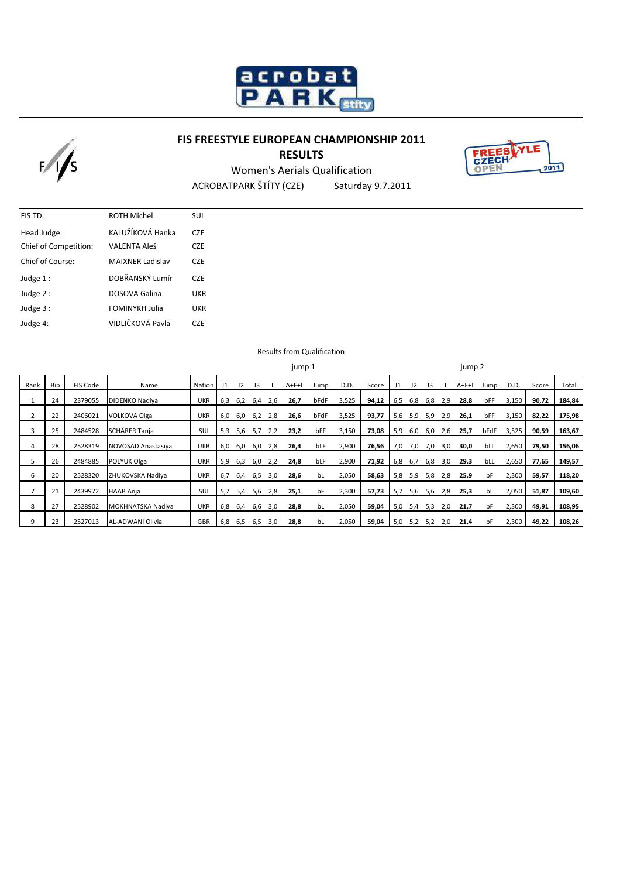

# **FIS FREESTYLE EUROPEAN CHAMPIONSHIP 2011**





ACROBATPARK ŠTÍTY (CZE) Saturday 9.7.2011 Women's Aerials Qualification

| FIS TD:               | <b>ROTH Michel</b>      | SUI              |
|-----------------------|-------------------------|------------------|
| Head Judge:           | KALUŽÍKOVÁ Hanka        | C <sub>7</sub> F |
| Chief of Competition: | <b>VALENTA Aleš</b>     | <b>CZE</b>       |
| Chief of Course:      | <b>MAIXNER Ladislav</b> | C <sub>7</sub> F |
| Judge 1:              | DOBŘANSKÝ Lumír         | <b>CZE</b>       |
| Judge 2:              | DOSOVA Galina           | <b>UKR</b>       |
| Judge 3:              | <b>FOMINYKH Julia</b>   | <b>UKR</b>       |
| Judge 4:              | VIDLIČKOVÁ Pavla        | CZE              |

 $F/fs$ 

Results from Qualification

|      |     |          |                      |                 | jump 1 |     |     |     |       |      | jump 2 |       |     |     |     |     |             |      |       |       |        |
|------|-----|----------|----------------------|-----------------|--------|-----|-----|-----|-------|------|--------|-------|-----|-----|-----|-----|-------------|------|-------|-------|--------|
| Rank | Bib | FIS Code | Name                 | Nation <b>I</b> | J1     | 12  | J3  |     | A+F+L | Jump | D.D.   | Score | J1  | J2  | J3  |     | $A + F + L$ | Jump | D.D.  | Score | Total  |
|      | 24  | 2379055  | DIDENKO Nadiya       | UKR             | 6,3    | 6,2 | 6,4 | 2,6 | 26,7  | bFdF | 3,525  | 94,12 | 6,5 | 6,8 | 6,8 | 2,9 | 28,8        | bFF  | 3,150 | 90,72 | 184,84 |
|      | 22  | 2406021  | VOLKOVA Olga         | UKR             | 6,0    | 6,0 | 6,2 | 2,8 | 26,6  | bFdF | 3,525  | 93,77 | 5,6 | 5,9 | 5,9 | 2,9 | 26,1        | bFF  | 3,150 | 82,22 | 175,98 |
| 3    | 25  | 2484528  | <b>SCHÄRER Tanja</b> | SUI             | 5,3    | 5,6 | 5,7 | 2,2 | 23,2  | bFF  | 3,150  | 73,08 | 5,9 | 6,0 | 6,0 | 2,6 | 25,7        | bFdF | 3,525 | 90,59 | 163,67 |
| 4    | 28  | 2528319  | NOVOSAD Anastasiya   | <b>UKR</b>      | 6,0    | 6,0 | 6,0 | 2,8 | 26,4  | bLF  | 2,900  | 76,56 | 7,0 | 7,0 | 7,0 | 3,0 | 30,0        | bLL  | 2,650 | 79,50 | 156,06 |
| 5    | 26  | 2484885  | POLYUK Olga          | <b>UKR</b>      | 5,9    | 6,3 | 6,0 | 2,2 | 24,8  | bLF  | 2,900  | 71,92 | 6,8 | 6,7 | 6,8 | 3,0 | 29,3        | bLL  | 2,650 | 77,65 | 149,57 |
| 6    | 20  | 2528320  | ZHUKOVSKA Nadiya     | UKR             | 6,7    | 6,4 | 6,5 | 3,0 | 28,6  | bL   | 2,050  | 58,63 | 5,8 | 5,9 | 5,8 | 2,8 | 25,9        | bF   | 2,300 | 59,57 | 118,20 |
|      | 21  | 2439972  | HAAB Anja            | SUI             | 5,7    | 5,4 | 5,6 | 2,8 | 25,1  | bF   | 2,300  | 57,73 | 5,7 | 5,6 | 5,6 | 2,8 | 25,3        | bL   | 2,050 | 51,87 | 109,60 |
| 8    | 27  | 2528902  | MOKHNATSKA Nadiya    | <b>UKR</b>      | 6,8    | 6,4 | 6,6 | 3,0 | 28,8  | bL   | 2,050  | 59,04 | 5,0 | 5,4 | 5,3 | 2,0 | 21,7        | bF   | 2,300 | 49,91 | 108,95 |
| 9    | 23  | 2527013  | AL-ADWANI Olivia     | GBR             | 6,8    | 6,5 | 6,5 | 3.0 | 28,8  | bL   | 2,050  | 59,04 | 5,0 | 5,2 | 5,2 | 2,0 | 21,4        | bF   | 2,300 | 49,22 | 108,26 |